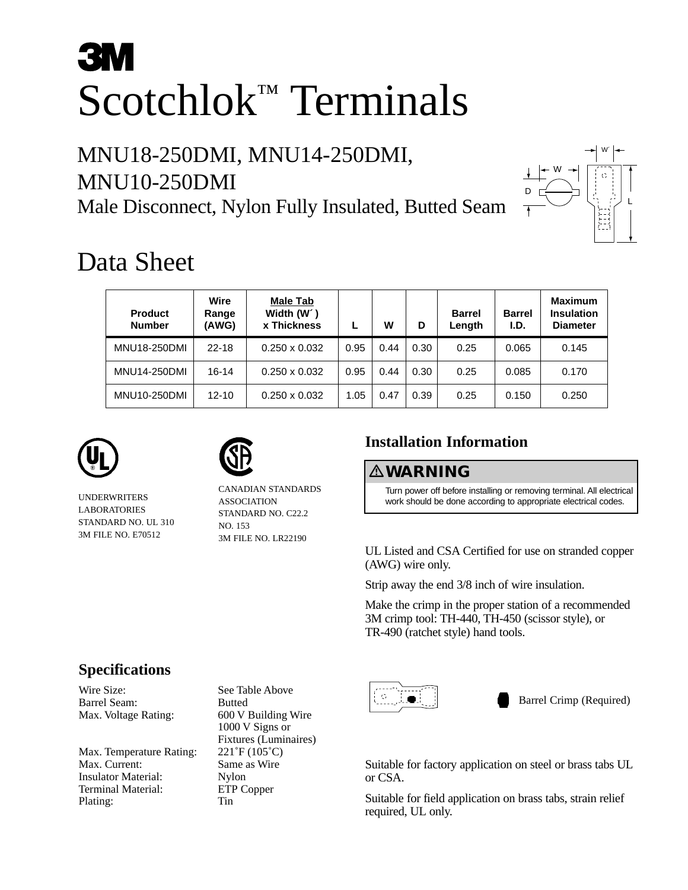# **3M** Scotchlok™ Terminals

## MNU18-250DMI, MNU14-250DMI, MNU10-250DMI Male Disconnect, Nylon Fully Insulated, Butted Seam



## Data Sheet

| <b>Product</b><br><b>Number</b> | Wire<br>Range<br>(AWG) | <b>Male Tab</b><br>Width (W <sup>o</sup> )<br><b>x Thickness</b> |      | W    | D    | <b>Barrel</b><br>Length | <b>Barrel</b><br>I.D. | <b>Maximum</b><br>Insulation<br><b>Diameter</b> |
|---------------------------------|------------------------|------------------------------------------------------------------|------|------|------|-------------------------|-----------------------|-------------------------------------------------|
| <b>MNU18-250DMI</b>             | $22 - 18$              | $0.250 \times 0.032$                                             | 0.95 | 0.44 | 0.30 | 0.25                    | 0.065                 | 0.145                                           |
| <b>MNU14-250DMI</b>             | 16-14                  | $0.250 \times 0.032$                                             | 0.95 | 0.44 | 0.30 | 0.25                    | 0.085                 | 0.170                                           |
| MNU10-250DMI                    | $12 - 10$              | $0.250 \times 0.032$                                             | 1.05 | 0.47 | 0.39 | 0.25                    | 0.150                 | 0.250                                           |





UNDERWRITERS LABORATORIES STANDARD NO. UL 310 3M FILE NO. E70512

CANADIAN STANDARDS ASSOCIATION STANDARD NO. C22.2 NO. 153 3M FILE NO. LR22190

### **Installation Information**

#### -**WARNING**

Turn power off before installing or removing terminal. All electrical work should be done according to appropriate electrical codes.

UL Listed and CSA Certified for use on stranded copper (AWG) wire only.

Strip away the end 3/8 inch of wire insulation.

Make the crimp in the proper station of a recommended 3M crimp tool: TH-440, TH-450 (scissor style), or TR-490 (ratchet style) hand tools.



Barrel Crimp (Required)

Suitable for factory application on steel or brass tabs UL or CSA.

Suitable for field application on brass tabs, strain relief required, UL only.

#### **Specifications**

Wire Size: See Table Above Barrel Seam: Butted

Max. Temperature Rating: 221°F (105°C) Max. Current: Same as Wire Insulator Material: Nylon<br>Terminal Material: ETP Copper Terminal Material: Plating: Tin

Max. Voltage Rating: 600 V Building Wire 1000 V Signs or Fixtures (Luminaires)